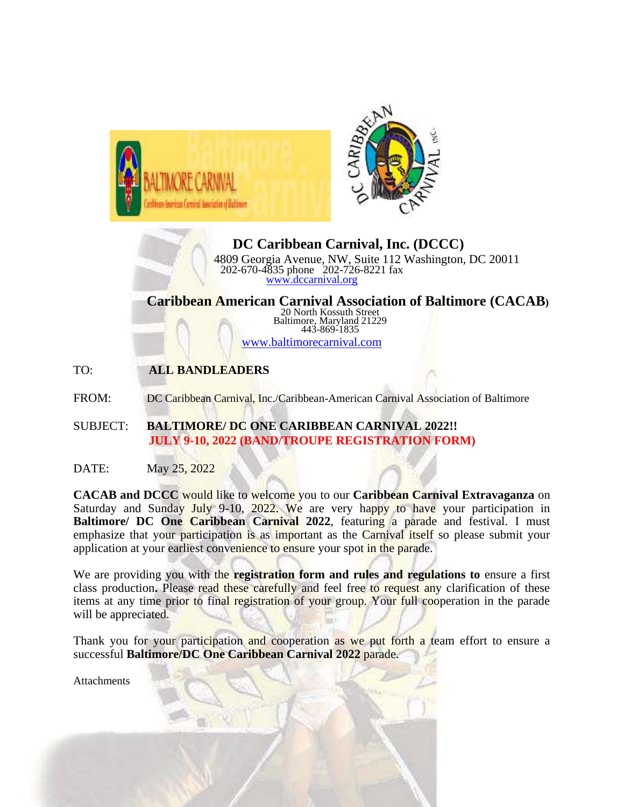



**DC Caribbean Carnival, Inc. (DCCC)** 4809 Georgia Avenue, NW, Suite 112 Washington, DC 20011 202-670-4835 phone 202-726-8221 fax [www.dccarnival.org](http://www.dccarnival.org/)

**Caribbean American Carnival Association of Baltimore (CACAB)** 20 North Kossuth Street Baltimore, Maryland 21229 443-869-1835

[www.baltimorecarnival.com](http://www.baltimorecarnival.com/)

TO: **ALL BANDLEADERS**

FROM: DC Caribbean Carnival, Inc./Caribbean-American Carnival Association of Baltimore

- SUBJECT: **BALTIMORE/ DC ONE CARIBBEAN CARNIVAL 2022!! JULY 9-10, 2022 (BAND/TROUPE REGISTRATION FORM)**
- DATE: May 25, 2022

**CACAB and DCCC** would like to welcome you to our **Caribbean Carnival Extravaganza** on Saturday and Sunday July 9-10, 2022. We are very happy to have your participation in **Baltimore/ DC One Caribbean Carnival 2022**, featuring a parade and festival. I must emphasize that your participation is as important as the Carnival itself so please submit your application at your earliest convenience to ensure your spot in the parade.

We are providing you with the **registration form and rules and regulations to** ensure a first class production**.** Please read these carefully and feel free to request any clarification of these items at any time prior to final registration of your group. Your full cooperation in the parade will be appreciated.

Thank you for your participation and cooperation as we put forth a team effort to ensure a successful **Baltimore/DC One Caribbean Carnival 2022** parade.

**Attachments**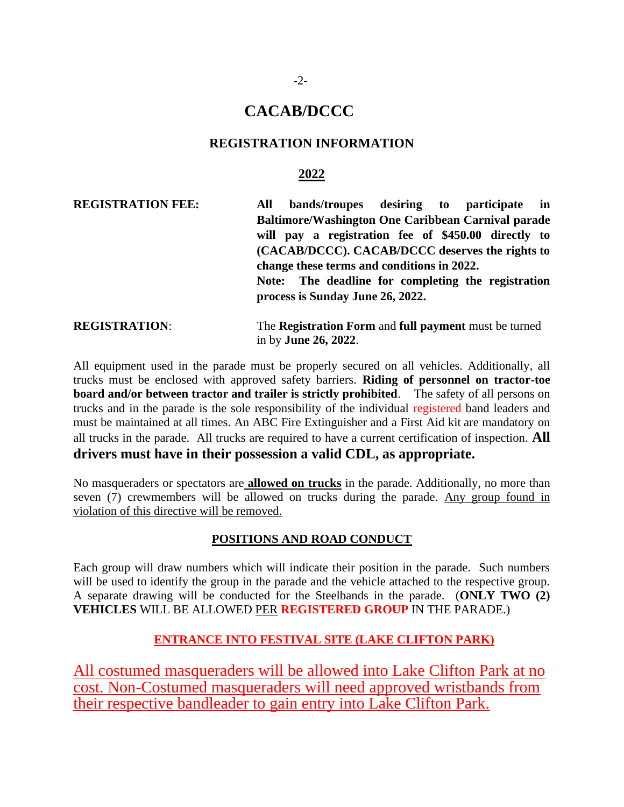## **CACAB/DCCC**

## **REGISTRATION INFORMATION**

## **2022**

**REGISTRATION FEE: All bands/troupes desiring to participate in Baltimore/Washington One Caribbean Carnival parade will pay a registration fee of \$450.00 directly to (CACAB/DCCC). CACAB/DCCC deserves the rights to change these terms and conditions in 2022. Note: The deadline for completing the registration process is Sunday June 26, 2022. REGISTRATION**: The **Registration Form** and **full payment** must be turned in by **June 26, 2022**.

All equipment used in the parade must be properly secured on all vehicles. Additionally, all trucks must be enclosed with approved safety barriers. **Riding of personnel on tractor-toe board and/or between tractor and trailer is strictly prohibited**. The safety of all persons on trucks and in the parade is the sole responsibility of the individual registered band leaders and must be maintained at all times. An ABC Fire Extinguisher and a First Aid kit are mandatory on all trucks in the parade. All trucks are required to have a current certification of inspection. **All drivers must have in their possession a valid CDL, as appropriate.**

No masqueraders or spectators are **allowed on trucks** in the parade. Additionally, no more than seven (7) crewmembers will be allowed on trucks during the parade. Any group found in violation of this directive will be removed.

### **POSITIONS AND ROAD CONDUCT**

Each group will draw numbers which will indicate their position in the parade. Such numbers will be used to identify the group in the parade and the vehicle attached to the respective group. A separate drawing will be conducted for the Steelbands in the parade. (**ONLY TWO (2) VEHICLES** WILL BE ALLOWED PER **REGISTERED GROUP** IN THE PARADE.)

## **ENTRANCE INTO FESTIVAL SITE (LAKE CLIFTON PARK)**

All costumed masqueraders will be allowed into Lake Clifton Park at no cost. Non-Costumed masqueraders will need approved wristbands from their respective bandleader to gain entry into Lake Clifton Park.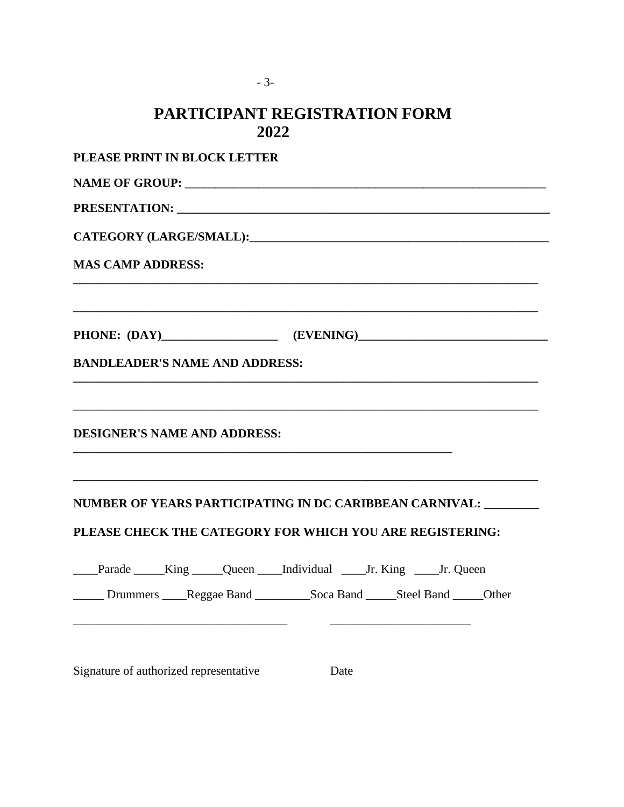| <b>PARTICIPANT REGISTRATION FORM</b><br>2022                                                                                |
|-----------------------------------------------------------------------------------------------------------------------------|
| PLEASE PRINT IN BLOCK LETTER                                                                                                |
|                                                                                                                             |
|                                                                                                                             |
|                                                                                                                             |
| <b>MAS CAMP ADDRESS:</b>                                                                                                    |
|                                                                                                                             |
| <b>BANDLEADER'S NAME AND ADDRESS:</b>                                                                                       |
| <b>DESIGNER'S NAME AND ADDRESS:</b>                                                                                         |
| NUMBER OF YEARS PARTICIPATING IN DC CARIBBEAN CARNIVAL: _______<br>PLEASE CHECK THE CATEGORY FOR WHICH YOU ARE REGISTERING: |
| ____Parade _____King _____Queen ____Individual ____Jr. King ____Jr. Queen                                                   |
| Drummers ____Reggae Band ____________Soca Band ______Steel Band ______Other                                                 |
| Signature of authorized representative<br>Date                                                                              |

- 3-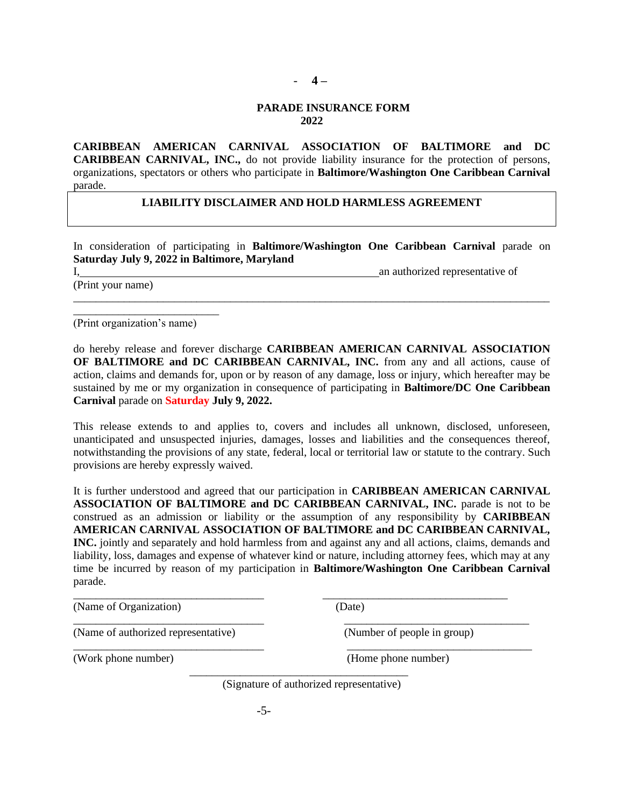#### - **4 –**

#### **PARADE INSURANCE FORM 2022**

**CARIBBEAN AMERICAN CARNIVAL ASSOCIATION OF BALTIMORE and DC CARIBBEAN CARNIVAL, INC.,** do not provide liability insurance for the protection of persons, organizations, spectators or others who participate in **Baltimore/Washington One Caribbean Carnival** parade.

#### **LIABILITY DISCLAIMER AND HOLD HARMLESS AGREEMENT**

In consideration of participating in **Baltimore/Washington One Caribbean Carnival** parade on **Saturday July 9, 2022 in Baltimore, Maryland**

\_\_\_\_\_\_\_\_\_\_\_\_\_\_\_\_\_\_\_\_\_\_\_\_\_\_\_\_\_\_\_\_\_\_\_\_\_\_\_\_\_\_\_\_\_\_\_\_\_\_\_\_\_\_\_\_\_\_\_\_\_\_\_\_\_\_\_\_\_\_\_\_\_\_\_\_\_\_\_\_\_\_\_\_\_

I, an authorized representative of  $\overline{a}$  and  $\overline{b}$  and  $\overline{a}$  and  $\overline{a}$  and  $\overline{a}$  and  $\overline{a}$  and  $\overline{a}$  and  $\overline{a}$  and  $\overline{a}$  and  $\overline{a}$  and  $\overline{a}$  and  $\overline{a}$  and  $\overline{a}$  and  $\overline{a}$  and  $\overline{$ 

(Print your name)

(Print organization's name)

\_\_\_\_\_\_\_\_\_\_\_\_\_\_\_\_\_\_\_\_\_\_\_\_\_\_

do hereby release and forever discharge **CARIBBEAN AMERICAN CARNIVAL ASSOCIATION OF BALTIMORE and DC CARIBBEAN CARNIVAL, INC.** from any and all actions, cause of action, claims and demands for, upon or by reason of any damage, loss or injury, which hereafter may be sustained by me or my organization in consequence of participating in **Baltimore/DC One Caribbean Carnival** parade on **Saturday July 9, 2022.**

This release extends to and applies to, covers and includes all unknown, disclosed, unforeseen, unanticipated and unsuspected injuries, damages, losses and liabilities and the consequences thereof, notwithstanding the provisions of any state, federal, local or territorial law or statute to the contrary. Such provisions are hereby expressly waived.

It is further understood and agreed that our participation in **CARIBBEAN AMERICAN CARNIVAL ASSOCIATION OF BALTIMORE and DC CARIBBEAN CARNIVAL, INC.** parade is not to be construed as an admission or liability or the assumption of any responsibility by **CARIBBEAN AMERICAN CARNIVAL ASSOCIATION OF BALTIMORE and DC CARIBBEAN CARNIVAL, INC.** jointly and separately and hold harmless from and against any and all actions, claims, demands and liability, loss, damages and expense of whatever kind or nature, including attorney fees, which may at any time be incurred by reason of my participation in **Baltimore/Washington One Caribbean Carnival** parade.

| (Name of Organization)              | (Date)                      |
|-------------------------------------|-----------------------------|
| (Name of authorized representative) | (Number of people in group) |
| (Work phone number)                 | (Home phone number)         |

\_\_\_\_\_\_\_\_\_\_\_\_\_\_\_\_\_\_\_\_\_\_\_\_\_\_\_\_\_\_\_\_\_\_\_\_\_\_\_

(Signature of authorized representative)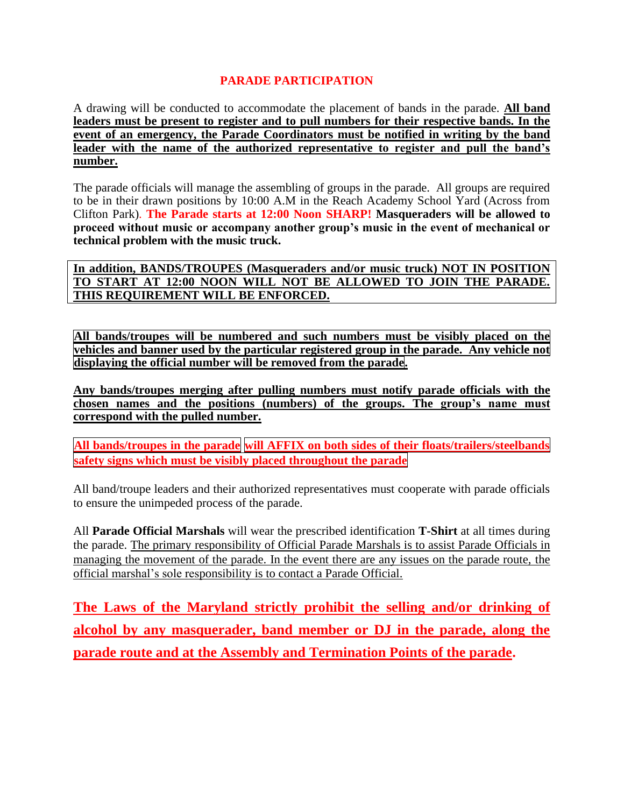## **PARADE PARTICIPATION**

A drawing will be conducted to accommodate the placement of bands in the parade. **All band leaders must be present to register and to pull numbers for their respective bands. In the event of an emergency, the Parade Coordinators must be notified in writing by the band leader with the name of the authorized representative to register and pull the band's number.**

The parade officials will manage the assembling of groups in the parade. All groups are required to be in their drawn positions by 10:00 A.M in the Reach Academy School Yard (Across from Clifton Park). **The Parade starts at 12:00 Noon SHARP! Masqueraders will be allowed to proceed without music or accompany another group's music in the event of mechanical or technical problem with the music truck.**

**In addition, BANDS/TROUPES (Masqueraders and/or music truck) NOT IN POSITION TO START AT 12:00 NOON WILL NOT BE ALLOWED TO JOIN THE PARADE. THIS REQUIREMENT WILL BE ENFORCED.** 

**All bands/troupes will be numbered and such numbers must be visibly placed on the vehicles and banner used by the particular registered group in the parade. Any vehicle not displaying the official number will be removed from the parade.**

**Any bands/troupes merging after pulling numbers must notify parade officials with the chosen names and the positions (numbers) of the groups. The group's name must correspond with the pulled number.**

**All bands/troupes in the parade will AFFIX on both sides of their floats/trailers/steelbands safety signs which must be visibly placed throughout the parade**

All band/troupe leaders and their authorized representatives must cooperate with parade officials to ensure the unimpeded process of the parade.

All **Parade Official Marshals** will wear the prescribed identification **T-Shirt** at all times during the parade. The primary responsibility of Official Parade Marshals is to assist Parade Officials in managing the movement of the parade. In the event there are any issues on the parade route, the official marshal's sole responsibility is to contact a Parade Official.

**The Laws of the Maryland strictly prohibit the selling and/or drinking of alcohol by any masquerader, band member or DJ in the parade, along the parade route and at the Assembly and Termination Points of the parade.**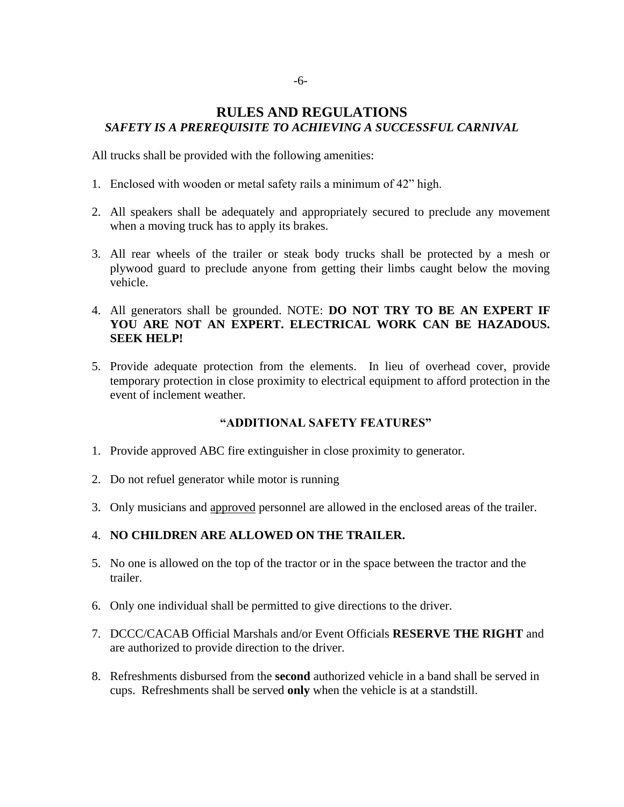## **RULES AND REGULATIONS** *SAFETY IS A PREREQUISITE TO ACHIEVING A SUCCESSFUL CARNIVAL*

All trucks shall be provided with the following amenities:

- 1. Enclosed with wooden or metal safety rails a minimum of 42" high.
- 2. All speakers shall be adequately and appropriately secured to preclude any movement when a moving truck has to apply its brakes.
- 3. All rear wheels of the trailer or steak body trucks shall be protected by a mesh or plywood guard to preclude anyone from getting their limbs caught below the moving vehicle.
- 4. All generators shall be grounded. NOTE: **DO NOT TRY TO BE AN EXPERT IF YOU ARE NOT AN EXPERT. ELECTRICAL WORK CAN BE HAZADOUS. SEEK HELP!**
- 5. Provide adequate protection from the elements. In lieu of overhead cover, provide temporary protection in close proximity to electrical equipment to afford protection in the event of inclement weather.

#### **"ADDITIONAL SAFETY FEATURES"**

- 1. Provide approved ABC fire extinguisher in close proximity to generator.
- 2. Do not refuel generator while motor is running
- 3. Only musicians and approved personnel are allowed in the enclosed areas of the trailer.

#### 4. **NO CHILDREN ARE ALLOWED ON THE TRAILER.**

- 5. No one is allowed on the top of the tractor or in the space between the tractor and the trailer.
- 6. Only one individual shall be permitted to give directions to the driver.
- 7. DCCC/CACAB Official Marshals and/or Event Officials **RESERVE THE RIGHT** and are authorized to provide direction to the driver.
- 8. Refreshments disbursed from the **second** authorized vehicle in a band shall be served in cups. Refreshments shall be served **only** when the vehicle is at a standstill.